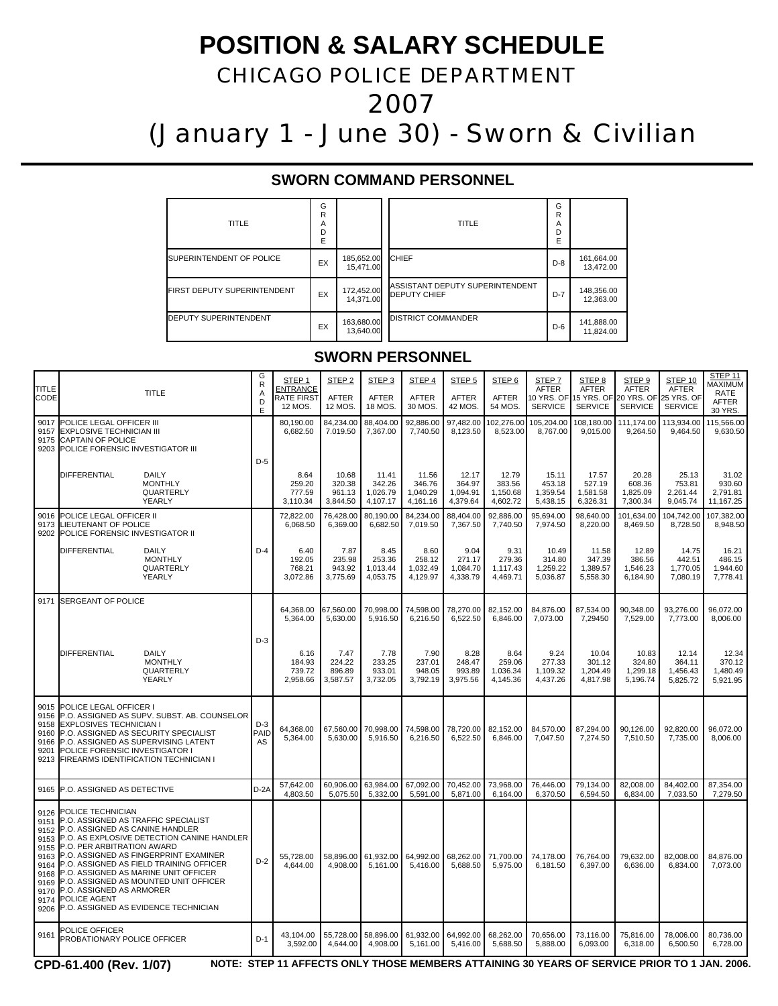# **POSITION & SALARY SCHEDULE**

## CHICAGO POLICE DEPARTMENT

2007

(January 1 - June 30) - Sworn & Civilian

### **SWORN COMMAND PERSONNEL**

| <b>TITLE</b>                        | G<br>R<br>A<br>D<br>E |                         | TITLE                                                  | G<br>R<br>A<br>D<br>E |                         |
|-------------------------------------|-----------------------|-------------------------|--------------------------------------------------------|-----------------------|-------------------------|
| <b>ISUPERINTENDENT OF POLICE</b>    | EX                    | 185,652.00<br>15,471.00 | <b>CHIEF</b>                                           | $D-8$                 | 161,664.00<br>13,472.00 |
| <b>IFIRST DEPUTY SUPERINTENDENT</b> | EX                    | 172,452.00<br>14.371.00 | ASSISTANT DEPUTY SUPERINTENDENT<br><b>DEPUTY CHIEF</b> | $D-7$                 | 148,356.00<br>12.363.00 |
| <b>IDEPUTY SUPERINTENDENT</b>       | EX                    | 163,680.00<br>13.640.00 | <b>IDISTRICT COMMANDER</b>                             | $D-6$                 | 141,888.00<br>11,824.00 |

### **SWORN PERSONNEL**

| <b>TITLE</b><br><b>CODE</b>                                                                  | <b>TITLE</b>                                                                                                                                                                                                                                                                                                                                                                                                                             | G<br>R<br>A<br>D<br>E | STEP <sub>1</sub><br><b>ENTRANCE</b><br>RATE FIRST<br>12 MOS. | STEP <sub>2</sub><br>AFTER<br>12 MOS. | STEP <sub>3</sub><br><b>AFTER</b><br>18 MOS. | STEP <sub>4</sub><br><b>AFTER</b><br>30 MOS. | STEP <sub>5</sub><br>AFTER<br>42 MOS.   | STEP <sub>6</sub><br>AFTER<br>54 MOS.   | STEP <sub>7</sub><br><b>AFTER</b><br>10 YRS. OF<br><b>SERVICE</b> | STEP <sub>8</sub><br><b>AFTER</b><br>15 YRS. OF<br><b>SERVICE</b> | STEP <sub>9</sub><br><b>AFTER</b><br><b>SERVICE</b> | STEP 10<br>AFTER<br>20 YRS. OF 25 YRS. OF<br><b>SERVICE</b> | STEP 11<br><b>MAXIMUM</b><br><b>RATE</b><br>AFTER<br>30 YRS. |
|----------------------------------------------------------------------------------------------|------------------------------------------------------------------------------------------------------------------------------------------------------------------------------------------------------------------------------------------------------------------------------------------------------------------------------------------------------------------------------------------------------------------------------------------|-----------------------|---------------------------------------------------------------|---------------------------------------|----------------------------------------------|----------------------------------------------|-----------------------------------------|-----------------------------------------|-------------------------------------------------------------------|-------------------------------------------------------------------|-----------------------------------------------------|-------------------------------------------------------------|--------------------------------------------------------------|
| 9017<br>9157<br>9175                                                                         | POLICE LEGAL OFFICER III<br><b>EXPLOSIVE TECHNICIAN III</b><br><b>CAPTAIN OF POLICE</b><br>9203 POLICE FORENSIC INVESTIGATOR III                                                                                                                                                                                                                                                                                                         |                       | 80,190.00<br>6,682.50                                         | 84.234.00<br>7.019.50                 | 88.404.00<br>7,367.00                        | 92.886.00<br>7,740.50                        | 97.482.00<br>8,123.50                   | 102.276.00<br>8,523.00                  | 105.204.00<br>8,767.00                                            | 108.180.00<br>9,015.00                                            | 111.174.00<br>9,264.50                              | 113.934.00<br>9,464.50                                      | 115.566.00<br>9,630.50                                       |
|                                                                                              | DIFFERENTIAL<br>DAILY<br><b>MONTHLY</b><br>QUARTERLY<br>YEARLY                                                                                                                                                                                                                                                                                                                                                                           | $D-5$                 | 8.64<br>259.20<br>777.59<br>3,110.34                          | 10.68<br>320.38<br>961.13<br>3,844.50 | 11.41<br>342.26<br>1,026.79<br>4,107.17      | 11.56<br>346.76<br>1,040.29<br>4,161.16      | 12.17<br>364.97<br>1,094.91<br>4,379.64 | 12.79<br>383.56<br>1,150.68<br>4,602.72 | 15.11<br>453.18<br>1,359.54<br>5,438.15                           | 17.57<br>527.19<br>1,581.58<br>6,326.31                           | 20.28<br>608.36<br>1,825.09<br>7,300.34             | 25.13<br>753.81<br>2,261.44<br>9,045.74                     | 31.02<br>930.60<br>2,791.81<br>11,167.25                     |
| 9016<br>9173                                                                                 | POLICE LEGAL OFFICER II<br><b>LIEUTENANT OF POLICE</b><br>9202 POLICE FORENSIC INVESTIGATOR II                                                                                                                                                                                                                                                                                                                                           |                       | 72,822.00<br>6,068.50                                         | 76.428.00<br>6,369.00                 | 80.190.00<br>6,682.50                        | 84,234.00<br>7,019.50                        | 88.404.00<br>7,367.50                   | 92.886.00<br>7,740.50                   | 95.694.00<br>7,974.50                                             | 98.640.00<br>8,220.00                                             | 101.634.00<br>8,469.50                              | 104,742.00<br>8,728.50                                      | 107.382.00<br>8,948.50                                       |
|                                                                                              | <b>DIFFERENTIAL</b><br><b>DAILY</b><br><b>MONTHLY</b><br>QUARTERLY<br>YEARLY                                                                                                                                                                                                                                                                                                                                                             | $D-4$                 | 6.40<br>192.05<br>768.21<br>3,072.86                          | 7.87<br>235.98<br>943.92<br>3,775.69  | 8.45<br>253.36<br>1,013.44<br>4,053.75       | 8.60<br>258.12<br>1,032.49<br>4,129.97       | 9.04<br>271.17<br>1,084.70<br>4,338.79  | 9.31<br>279.36<br>1,117.43<br>4,469.71  | 10.49<br>314.80<br>1,259.22<br>5,036.87                           | 11.58<br>347.39<br>1,389.57<br>5,558.30                           | 12.89<br>386.56<br>1,546.23<br>6,184.90             | 14.75<br>442.51<br>1,770.05<br>7,080.19                     | 16.21<br>486.15<br>1.944.60<br>7,778.41                      |
| 9171                                                                                         | <b>SERGEANT OF POLICE</b>                                                                                                                                                                                                                                                                                                                                                                                                                | $D-3$                 | 64,368.00<br>5,364.00                                         | 67,560.00<br>5,630.00                 | 70,998.00<br>5,916.50                        | 74,598.00<br>6,216.50                        | 78,270.00<br>6,522.50                   | 82,152.00<br>6,846.00                   | 84,876.00<br>7,073.00                                             | 87,534.00<br>7,29450                                              | 90,348.00<br>7,529.00                               | 93,276.00<br>7,773.00                                       | 96,072.00<br>8,006.00                                        |
|                                                                                              | <b>DIFFERENTIAL</b><br>DAILY<br><b>MONTHLY</b><br>QUARTERLY<br>YEARLY                                                                                                                                                                                                                                                                                                                                                                    |                       | 6.16<br>184.93<br>739.72<br>2,958.66                          | 7.47<br>224.22<br>896.89<br>3,587.57  | 7.78<br>233.25<br>933.01<br>3,732.05         | 7.90<br>237.01<br>948.05<br>3,792.19         | 8.28<br>248.47<br>993.89<br>3,975.56    | 8.64<br>259.06<br>1.036.34<br>4,145.36  | 9.24<br>277.33<br>1,109.32<br>4,437.26                            | 10.04<br>301.12<br>1,204.49<br>4,817.98                           | 10.83<br>324.80<br>1,299.18<br>5,196.74             | 12.14<br>364.11<br>1,456.43<br>5,825.72                     | 12.34<br>370.12<br>1,480.49<br>5,921.95                      |
| 9015<br>9156<br>9158<br>9160<br>9166<br>9201<br>9213                                         | <b>POLICE LEGAL OFFICER I</b><br>P.O. ASSIGNED AS SUPV. SUBST. AB. COUNSELOR<br><b>EXPLOSIVES TECHNICIAN I</b><br>P.O. ASSIGNED AS SECURITY SPECIALIST<br>P.O. ASSIGNED AS SUPERVISING LATENT<br>POLICE FORENSIC INVESTIGATOR I<br><b>FIREARMS IDENTIFICATION TECHNICIAN I</b>                                                                                                                                                           | $D-3$<br>PAID<br>AS   | 64.368.00<br>5,364.00                                         | 67.560.00<br>5,630.00                 | 70.998.00<br>5,916.50                        | 74.598.00<br>6,216.50                        | 78.720.00<br>6,522.50                   | 82.152.00<br>6,846.00                   | 84.570.00<br>7,047.50                                             | 87.294.00<br>7,274.50                                             | 90.126.00<br>7,510.50                               | 92.820.00<br>7,735.00                                       | 96.072.00<br>8,006.00                                        |
| 9165                                                                                         | P.O. ASSIGNED AS DETECTIVE                                                                                                                                                                                                                                                                                                                                                                                                               | $D-2A$                | 57.642.00<br>4,803.50                                         | 60.906.00<br>5,075.50                 | 63.984.00<br>5,332.00                        | 67.092.00<br>5,591.00                        | 70.452.00<br>5,871.00                   | 73.968.00<br>6,164.00                   | 76.446.00<br>6,370.50                                             | 79.134.00<br>6,594.50                                             | 82.008.00<br>6,834.00                               | 84.402.00<br>7,033.50                                       | 87.354.00<br>7,279.50                                        |
| 9126<br>9151<br>9152<br>9153<br>9155<br>9163<br>9164<br>9168<br>9169<br>9170<br>9174<br>9206 | POLICE TECHNICIAN<br>P.O. ASSIGNED AS TRAFFIC SPECIALIST<br>P.O. ASSIGNED AS CANINE HANDLER<br>P.O. AS EXPLOSIVE DETECTION CANINE HANDLER<br>P.O. PER ARBITRATION AWARD<br>P.O. ASSIGNED AS FINGERPRINT EXAMINER<br>P.O. ASSIGNED AS FIELD TRAINING OFFICER<br>P.O. ASSIGNED AS MARINE UNIT OFFICER<br>P.O. ASSIGNED AS MOUNTED UNIT OFFICER<br><b>IP.O. ASSIGNED AS ARMORER</b><br>POLICE AGENT<br>P.O. ASSIGNED AS EVIDENCE TECHNICIAN | $D-2$                 | 55,728.00<br>4,644.00                                         | 58,896.00<br>4,908.00                 | 61,932.00<br>5,161.00                        | 64,992.00<br>5,416.00                        | 68,262.00<br>5,688.50                   | 71,700.00<br>5,975.00                   | 74,178.00<br>6.181.50                                             | 76,764.00<br>6,397.00                                             | 79,632.00<br>6,636.00                               | 82,008.00<br>6,834.00                                       | 84,876.00<br>7,073.00                                        |
| 9161                                                                                         | POLICE OFFICER<br>PROBATIONARY POLICE OFFICER                                                                                                                                                                                                                                                                                                                                                                                            | $D-1$                 | 43,104.00<br>3,592.00                                         | 55,728.00<br>4,644.00                 | 58,896.00<br>4,908.00                        | 61,932.00<br>5,161.00                        | 64,992.00<br>5,416.00                   | 68,262.00<br>5,688.50                   | 70,656.00<br>5,888.00                                             | 73,116.00<br>6,093.00                                             | 75,816.00<br>6,318.00                               | 78,006.00<br>6,500.50                                       | 80,736.00<br>6,728.00                                        |

**CPD-61.400 (Rev. 1/07) NOTE: STEP 11 AFFECTS ONLY THOSE MEMBERS ATTAINING 30 YEARS OF SERVICE PRIOR TO 1 JAN. 2006.**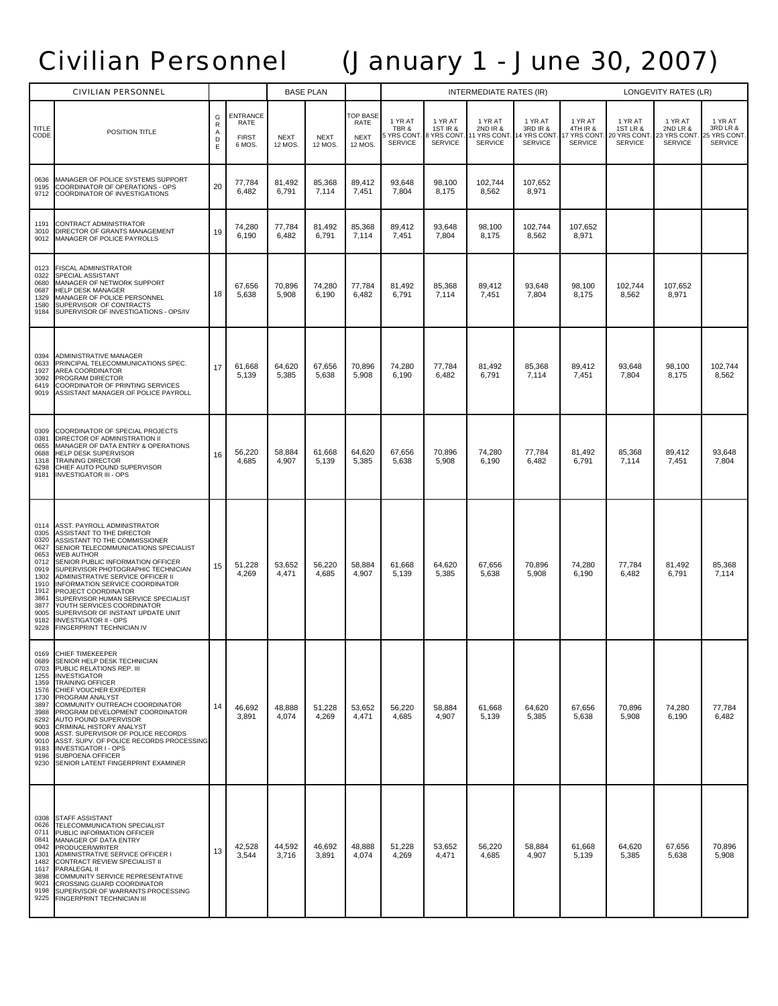# Civilian Personnel (January 1 - June 30, 2007)

|                                                                                                                              | <b>CIVILIAN PERSONNEL</b>                                                                                                                                                                                                                                                                                                                                                                                                                                                                                      |                                 |                                                   |                        | <b>BASE PLAN</b>       |                                           | <b>INTERMEDIATE RATES (IR)</b>                  |                                                                 |                                                               |                                                      |                                                       | LONGEVITY RATES (LR)                                  |                                                       |                                                      |  |
|------------------------------------------------------------------------------------------------------------------------------|----------------------------------------------------------------------------------------------------------------------------------------------------------------------------------------------------------------------------------------------------------------------------------------------------------------------------------------------------------------------------------------------------------------------------------------------------------------------------------------------------------------|---------------------------------|---------------------------------------------------|------------------------|------------------------|-------------------------------------------|-------------------------------------------------|-----------------------------------------------------------------|---------------------------------------------------------------|------------------------------------------------------|-------------------------------------------------------|-------------------------------------------------------|-------------------------------------------------------|------------------------------------------------------|--|
| TITLE<br>CODE                                                                                                                | POSITION TITLE                                                                                                                                                                                                                                                                                                                                                                                                                                                                                                 | G<br>$\mathsf R$<br>Α<br>D<br>E | <b>ENTRANCE</b><br>RATE<br><b>FIRST</b><br>6 MOS. | <b>NEXT</b><br>12 MOS. | <b>NEXT</b><br>12 MOS. | OP BASE<br>RATE<br><b>NEXT</b><br>12 MOS. | 1 YR AT<br>TBR &<br>YRS CONT.<br><b>SERVICE</b> | 1 YR AT<br><b>1ST IR &amp;</b><br>3 YRS CONT.<br><b>SERVICE</b> | 1 YR AT<br><b>2ND IR &amp;</b><br>YRS CONT.<br><b>SERVICE</b> | 1 YR AT<br>3RD IR &<br>14 YRS CONT<br><b>SERVICE</b> | 1 YR AT<br>4TH IR &<br>17 YRS CONT.<br><b>SERVICE</b> | 1 YR AT<br>1ST LR &<br>20 YRS CONT.<br><b>SERVICE</b> | 1 YR AT<br>2ND LR &<br>23 YRS CONT.<br><b>SERVICE</b> | 1 YR AT<br>3RD LR &<br>25 YRS CONT<br><b>SERVICE</b> |  |
| 0636<br>9195<br>9712                                                                                                         | MANAGER OF POLICE SYSTEMS SUPPORT<br>COORDINATOR OF OPERATIONS - OPS<br>COORDINATOR OF INVESTIGATIONS                                                                                                                                                                                                                                                                                                                                                                                                          | 20                              | 77,784<br>6,482                                   | 81,492<br>6,791        | 85,368<br>7,114        | 89,412<br>7,451                           | 93,648<br>7,804                                 | 98,100<br>8,175                                                 | 102,744<br>8,562                                              | 107,652<br>8,971                                     |                                                       |                                                       |                                                       |                                                      |  |
| 1191<br>3010<br>9012                                                                                                         | CONTRACT ADMINISTRATOR<br>DIRECTOR OF GRANTS MANAGEMENT<br>MANAGER OF POLICE PAYROLLS                                                                                                                                                                                                                                                                                                                                                                                                                          | 19                              | 74,280<br>6,190                                   | 77,784<br>6,482        | 81,492<br>6,791        | 85,368<br>7,114                           | 89.412<br>7,451                                 | 93,648<br>7,804                                                 | 98.100<br>8,175                                               | 102,744<br>8,562                                     | 107,652<br>8,971                                      |                                                       |                                                       |                                                      |  |
| 0123<br>0322<br>0680<br>0687<br>1329<br>1580<br>9184                                                                         | FISCAL ADMINISTRATOR<br>SPECIAL ASSISTANT<br>MANAGER OF NETWORK SUPPORT<br>HELP DESK MANAGER<br>MANAGER OF POLICE PERSONNEL<br>SUPERVISOR OF CONTRACTS<br>SUPERVISOR OF INVESTIGATIONS - OPS/IV                                                                                                                                                                                                                                                                                                                | 18                              | 67,656<br>5,638                                   | 70,896<br>5,908        | 74,280<br>6,190        | 77,784<br>6,482                           | 81,492<br>6,791                                 | 85,368<br>7,114                                                 | 89,412<br>7,451                                               | 93,648<br>7,804                                      | 98,100<br>8,175                                       | 102,744<br>8,562                                      | 107,652<br>8,971                                      |                                                      |  |
| 0394<br>0633<br>1927<br>3092<br>6419<br>9019                                                                                 | ADMINISTRATIVE MANAGER<br>PRINCIPAL TELECOMMUNICATIONS SPEC.<br>AREA COORDINATOR<br>PROGRAM DIRECTOR<br><b>COORDINATOR OF PRINTING SERVICES</b><br>ASSISTANT MANAGER OF POLICE PAYROLL                                                                                                                                                                                                                                                                                                                         | 17                              | 61,668<br>5,139                                   | 64,620<br>5,385        | 67,656<br>5,638        | 70,896<br>5,908                           | 74,280<br>6,190                                 | 77,784<br>6,482                                                 | 81,492<br>6,791                                               | 85,368<br>7,114                                      | 89,412<br>7,451                                       | 93,648<br>7,804                                       | 98,100<br>8,175                                       | 102,744<br>8,562                                     |  |
| 0309<br>0381<br>0655<br>0688<br>1318<br>6298<br>9181                                                                         | COORDINATOR OF SPECIAL PROJECTS<br>DIRECTOR OF ADMINISTRATION II<br>MANAGER OF DATA ENTRY & OPERATIONS<br>HELP DESK SUPERVISOR<br><b>TRAINING DIRECTOR</b><br>CHIEF AUTO POUND SUPERVISOR<br><b>INVESTIGATOR III - OPS</b>                                                                                                                                                                                                                                                                                     | 16                              | 56,220<br>4,685                                   | 58,884<br>4,907        | 61,668<br>5,139        | 64,620<br>5,385                           | 67,656<br>5,638                                 | 70,896<br>5,908                                                 | 74,280<br>6,190                                               | 77,784<br>6,482                                      | 81,492<br>6,791                                       | 85,368<br>7,114                                       | 89,412<br>7,451                                       | 93,648<br>7,804                                      |  |
| 0114<br>0305<br>0320<br>0627<br>0653<br>0712<br>0919<br>1302<br>1910<br>1912<br>3861<br>3877<br>9005<br>9182<br>9228         | ASST. PAYROLL ADMINISTRATOR<br>ASSISTANT TO THE DIRECTOR<br>ASSISTANT TO THE COMMISSIONER<br>SENIOR TELECOMMUNICATIONS SPECIALIST<br><b>WEB AUTHOR</b><br>SENIOR PUBLIC INFORMATION OFFICER<br>SUPERVISOR PHOTOGRAPHIC TECHNICIAN<br>ADMINISTRATIVE SERVICE OFFICER II<br>INFORMATION SERVICE COORDINATOR<br>PROJECT COORDINATOR<br>SUPERVISOR HUMAN SERVICE SPECIALIST<br>YOUTH SERVICES COORDINATOR<br>SUPERVISOR OF INSTANT UPDATE UNIT<br><b>INVESTIGATOR II - OPS</b><br><b>FINGERPRINT TECHNICIAN IV</b> | 15                              | 51,228<br>4,269                                   | 53,652<br>4,471        | 56,220<br>4,685        | 58,884<br>4,907                           | 61,668<br>5,139                                 | 64,620<br>5,385                                                 | 67,656<br>5,638                                               | 70,896<br>5,908                                      | 74,280<br>6,190                                       | 77,784<br>6,482                                       | 81,492<br>6,791                                       | 85,368<br>7,114                                      |  |
| 0169<br>0689<br>0703<br>1255<br>1359<br>1576<br>1730<br>3897<br>3988<br>6292<br>9003<br>9008<br>9010<br>9183<br>9196<br>9230 | CHIEF TIMEKEEPER<br>SENIOR HELP DESK TECHNICIAN<br>PUBLIC RELATIONS REP. III<br><b>INVESTIGATOR</b><br><b>TRAINING OFFICER</b><br>CHIEF VOUCHER EXPEDITER<br>PROGRAM ANALYST<br>COMMUNITY OUTREACH COORDINATOR<br>PROGRAM DEVELOPMENT COORDINATOR<br>AUTO POUND SUPERVISOR<br><b>CRIMINAL HISTORY ANALYST</b><br>ASST. SUPERVISOR OF POLICE RECORDS<br>ASST. SUPV. OF POLICE RECORDS PROCESSING<br><b>INVESTIGATOR I - OPS</b><br>SUBPOENA OFFICER<br>SENIOR LATENT FINGERPRINT EXAMINER                       | 14                              | 46,692<br>3,891                                   | 48,888<br>4,074        | 51,228<br>4,269        | 53,652<br>4,471                           | 56,220<br>4,685                                 | 58,884<br>4,907                                                 | 61,668<br>5,139                                               | 64,620<br>5,385                                      | 67,656<br>5,638                                       | 70,896<br>5,908                                       | 74,280<br>6,190                                       | 77,784<br>6,482                                      |  |
| 0308<br>0626<br>0711<br>0841<br>0942<br>1301<br>1482<br>1617<br>3898<br>9021<br>9198<br>9225                                 | <b>STAFF ASSISTANT</b><br>TELECOMMUNICATION SPECIALIST<br>PUBLIC INFORMATION OFFICER<br>MANAGER OF DATA ENTRY<br>PRODUCER/WRITER<br>ADMINISTRATIVE SERVICE OFFICER I<br>CONTRACT REVIEW SPECIALIST II<br>PARALEGAL II<br>COMMUNITY SERVICE REPRESENTATIVE<br>CROSSING GUARD COORDINATOR<br>SUPERVISOR OF WARRANTS PROCESSING<br>FINGERPRINT TECHNICIAN III                                                                                                                                                     | 13                              | 42,528<br>3,544                                   | 44,592<br>3,716        | 46,692<br>3,891        | 48,888<br>4,074                           | 51,228<br>4,269                                 | 53,652<br>4,471                                                 | 56,220<br>4,685                                               | 58,884<br>4,907                                      | 61,668<br>5,139                                       | 64,620<br>5,385                                       | 67,656<br>5,638                                       | 70,896<br>5,908                                      |  |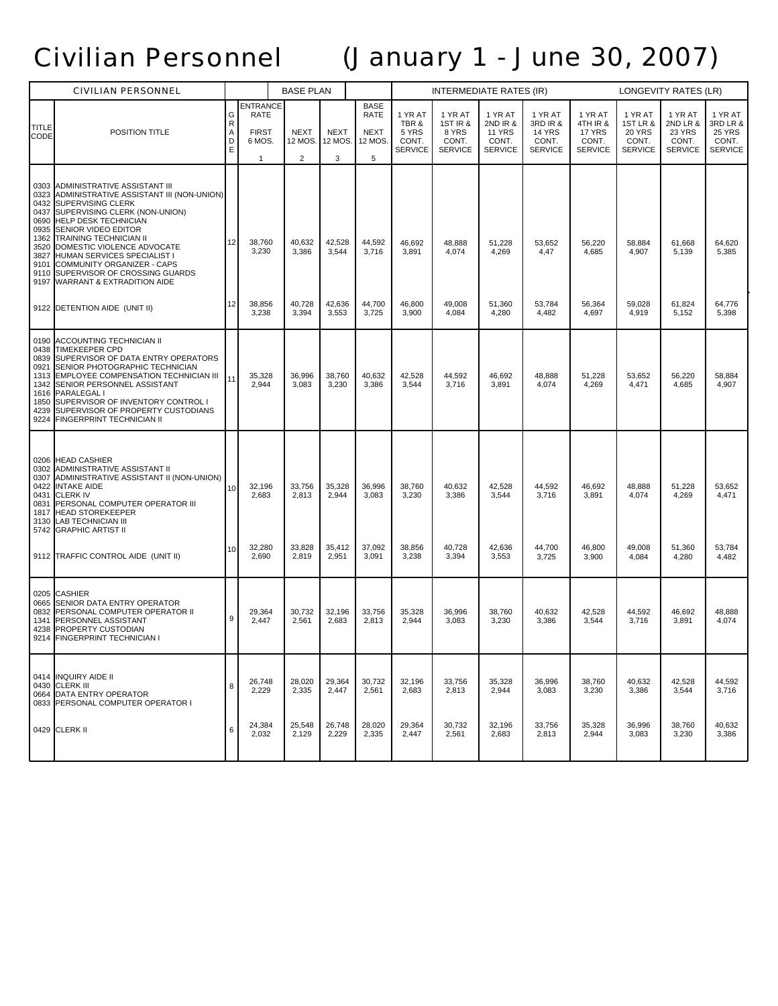# Civilian Personnel (January 1 - June 30, 2007)

|                                                              | <b>CIVILIAN PERSONNEL</b>                                                                                                                                                                                                                                                                                                                                                                    |                                  |                                                                  | <b>BASE PLAN</b>                         |                                    |                                                           |                                                      | <b>INTERMEDIATE RATES (IR)</b>                          |                                                                 |                                                                 |                                                          |                                                                 | LONGEVITY RATES (LR)                                            |                                                                 |
|--------------------------------------------------------------|----------------------------------------------------------------------------------------------------------------------------------------------------------------------------------------------------------------------------------------------------------------------------------------------------------------------------------------------------------------------------------------------|----------------------------------|------------------------------------------------------------------|------------------------------------------|------------------------------------|-----------------------------------------------------------|------------------------------------------------------|---------------------------------------------------------|-----------------------------------------------------------------|-----------------------------------------------------------------|----------------------------------------------------------|-----------------------------------------------------------------|-----------------------------------------------------------------|-----------------------------------------------------------------|
| TITLE<br>CODE                                                | POSITION TITLE                                                                                                                                                                                                                                                                                                                                                                               | G<br>$\mathsf{R}$<br>Α<br>D<br>Ε | <b>ENTRANCE</b><br>RATE<br><b>FIRST</b><br>6 MOS.<br>$\mathbf 1$ | <b>NEXT</b><br>12 MOS.<br>$\overline{c}$ | <b>NEXT</b><br>12 MOS.<br>3        | <b>BASE</b><br><b>RATE</b><br><b>NEXT</b><br>12 MOS.<br>5 | 1 YR AT<br>TBR &<br>5 YRS<br>CONT.<br><b>SERVICE</b> | 1 YR AT<br>1ST IR &<br>8 YRS<br>CONT.<br><b>SERVICE</b> | 1 YR AT<br>2ND IR &<br><b>11 YRS</b><br>CONT.<br><b>SERVICE</b> | 1 YR AT<br>3RD IR &<br><b>14 YRS</b><br>CONT.<br><b>SERVICE</b> | 1 YR AT<br>4TH IR &<br>17 YRS<br>CONT.<br><b>SERVICE</b> | 1 YR AT<br>1ST LR &<br><b>20 YRS</b><br>CONT.<br><b>SERVICE</b> | 1 YR AT<br>2ND LR &<br><b>23 YRS</b><br>CONT.<br><b>SERVICE</b> | 1 YR AT<br>3RD LR &<br><b>25 YRS</b><br>CONT.<br><b>SERVICE</b> |
| 0303<br>0432<br>0437<br>0935<br>1362<br>3520<br>3827<br>9101 | ADMINISTRATIVE ASSISTANT III<br>0323 ADMINISTRATIVE ASSISTANT III (NON-UNION)<br><b>SUPERVISING CLERK</b><br>SUPERVISING CLERK (NON-UNION)<br>0690 HELP DESK TECHNICIAN<br>SENIOR VIDEO EDITOR<br>TRAINING TECHNICIAN II<br>DOMESTIC VIOLENCE ADVOCATE<br>HUMAN SERVICES SPECIALIST I<br>COMMUNITY ORGANIZER - CAPS<br>9110 SUPERVISOR OF CROSSING GUARDS<br>9197 WARRANT & EXTRADITION AIDE | 12                               | 38,760<br>3,230                                                  | 40,632<br>3,386                          | 42,528<br>3,544                    | 44,592<br>3,716                                           | 46,692<br>3,891                                      | 48,888<br>4,074                                         | 51,228<br>4,269                                                 | 53,652<br>4,47                                                  | 56,220<br>4,685                                          | 58,884<br>4,907                                                 | 61,668<br>5,139                                                 | 64,620<br>5,385                                                 |
|                                                              | 9122 DETENTION AIDE (UNIT II)                                                                                                                                                                                                                                                                                                                                                                | 12                               | 38,856<br>3,238                                                  | 40,728<br>3,394                          | 42,636<br>3,553                    | 44,700<br>3,725                                           | 46,800<br>3,900                                      | 49,008<br>4,084                                         | 51,360<br>4,280                                                 | 53,784<br>4,482                                                 | 56,364<br>4,697                                          | 59,028<br>4,919                                                 | 61,824<br>5,152                                                 | 64,776<br>5,398                                                 |
| 0190<br>0438<br>0839<br>0921<br>1313<br>1342<br>1850<br>4239 | ACCOUNTING TECHNICIAN II<br><b>TIMEKEEPER CPD</b><br>SUPERVISOR OF DATA ENTRY OPERATORS<br>SENIOR PHOTOGRAPHIC TECHNICIAN<br>EMPLOYEE COMPENSATION TECHNICIAN III<br>SENIOR PERSONNEL ASSISTANT<br>1616 PARALEGAL I<br>SUPERVISOR OF INVENTORY CONTROL I<br>SUPERVISOR OF PROPERTY CUSTODIANS<br>9224 FINGERPRINT TECHNICIAN II                                                              | 11                               | 35,328<br>2,944                                                  | 36,996<br>3,083                          | 38,760<br>3,230                    | 40,632<br>3,386                                           | 42,528<br>3,544                                      | 44,592<br>3,716                                         | 46,692<br>3,891                                                 | 48,888<br>4,074                                                 | 51,228<br>4,269                                          | 53,652<br>4,471                                                 | 56,220<br>4,685                                                 | 58,884<br>4,907                                                 |
| 0206<br>0302<br>0307<br>0422<br>0831<br>1817<br>3130         | <b>HEAD CASHIER</b><br>ADMINISTRATIVE ASSISTANT II<br>ADMINISTRATIVE ASSISTANT II (NON-UNION)<br><b>INTAKE AIDE</b><br>0431 CLERK IV<br>PERSONAL COMPUTER OPERATOR III<br><b>HEAD STOREKEEPER</b><br><b>LAB TECHNICIAN III</b><br>5742 GRAPHIC ARTIST II<br>9112 TRAFFIC CONTROL AIDE (UNIT II)                                                                                              | 10<br>10                         | 32,196<br>2,683<br>32,280<br>2,690                               | 33,756<br>2,813<br>33,828<br>2,819       | 35,328<br>2,944<br>35,412<br>2,951 | 36,996<br>3,083<br>37,092<br>3,091                        | 38,760<br>3,230<br>38,856<br>3,238                   | 40,632<br>3,386<br>40,728<br>3,394                      | 42,528<br>3,544<br>42,636<br>3,553                              | 44,592<br>3,716<br>44,700<br>3,725                              | 46,692<br>3,891<br>46,800<br>3,900                       | 48,888<br>4,074<br>49,008<br>4,084                              | 51,228<br>4,269<br>51,360<br>4,280                              | 53,652<br>4,471<br>53,784<br>4,482                              |
| 0665<br>0832<br>1341<br>4238                                 | 0205 CASHIER<br><b>SENIOR DATA ENTRY OPERATOR</b><br>PERSONAL COMPUTER OPERATOR II<br>PERSONNEL ASSISTANT<br>PROPERTY CUSTODIAN<br>9214 FINGERPRINT TECHNICIAN I                                                                                                                                                                                                                             | 9                                | 29,364<br>2,447                                                  | 30,732<br>2,561                          | 32,196<br>2,683                    | 33,756<br>2,813                                           | 35,328<br>2,944                                      | 36,996<br>3,083                                         | 38,760<br>3,230                                                 | 40,632<br>3,386                                                 | 42,528<br>3,544                                          | 44,592<br>3,716                                                 | 46,692<br>3,891                                                 | 48,888<br>4,074                                                 |
| 0664                                                         | 0414 INQUIRY AIDE II<br>0430 CLERK III<br>DATA ENTRY OPERATOR<br>0833 PERSONAL COMPUTER OPERATOR I                                                                                                                                                                                                                                                                                           | 8                                | 26,748<br>2,229                                                  | 28,020<br>2,335                          | 29,364<br>2,447                    | 30,732<br>2,561                                           | 32,196<br>2,683                                      | 33,756<br>2,813                                         | 35,328<br>2,944                                                 | 36,996<br>3,083                                                 | 38,760<br>3,230                                          | 40,632<br>3,386                                                 | 42,528<br>3,544                                                 | 44,592<br>3,716                                                 |
|                                                              | 0429 CLERK II                                                                                                                                                                                                                                                                                                                                                                                | 6                                | 24,384<br>2,032                                                  | 25,548<br>2,129                          | 26,748<br>2,229                    | 28,020<br>2,335                                           | 29,364<br>2,447                                      | 30,732<br>2,561                                         | 32,196<br>2,683                                                 | 33,756<br>2,813                                                 | 35,328<br>2,944                                          | 36,996<br>3,083                                                 | 38,760<br>3,230                                                 | 40,632<br>3,386                                                 |